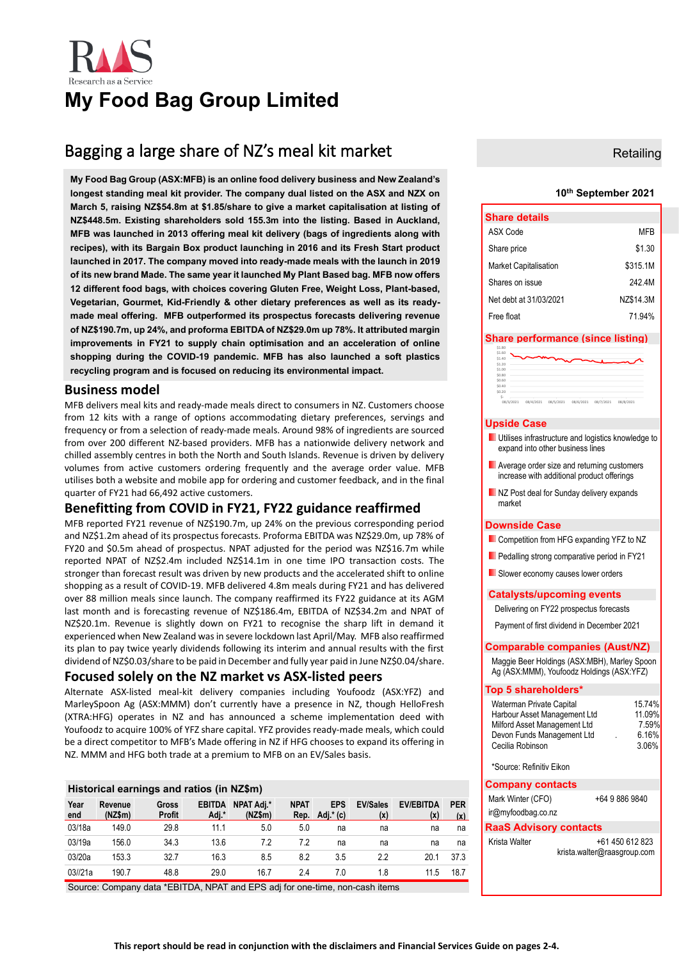

# **My Food Bag Group Limited**

# Bagging a large share of NZ's meal kit market

**My Food Bag Group (ASX:MFB) is an online food delivery business and New Zealand's longest standing meal kit provider. The company dual listed on the ASX and NZX on March 5, raising NZ\$54.8m at \$1.85/share to give a market capitalisation at listing of NZ\$448.5m. Existing shareholders sold 155.3m into the listing. Based in Auckland, MFB was launched in 2013 offering meal kit delivery (bags of ingredients along with recipes), with its Bargain Box product launching in 2016 and its Fresh Start product launched in 2017. The company moved into ready-made meals with the launch in 2019 of its new brand Made. The same year it launched My Plant Based bag. MFB now offers 12 different food bags, with choices covering Gluten Free, Weight Loss, Plant-based, Vegetarian, Gourmet, Kid-Friendly & other dietary preferences as well as its readymade meal offering. MFB outperformed its prospectus forecasts delivering revenue of NZ\$190.7m, up 24%, and proforma EBITDA of NZ\$29.0m up 78%. It attributed margin improvements in FY21 to supply chain optimisation and an acceleration of online shopping during the COVID-19 pandemic. MFB has also launched a soft plastics recycling program and is focused on reducing its environmental impact.**

### **Business model**

MFB delivers meal kits and ready-made meals direct to consumers in NZ. Customers choose from 12 kits with a range of options accommodating dietary preferences, servings and frequency or from a selection of ready-made meals. Around 98% of ingredients are sourced from over 200 different NZ-based providers. MFB has a nationwide delivery network and chilled assembly centres in both the North and South Islands. Revenue is driven by delivery volumes from active customers ordering frequently and the average order value. MFB utilises both a website and mobile app for ordering and customer feedback, and in the final quarter of FY21 had 66,492 active customers.

## **Benefitting from COVID in FY21, FY22 guidance reaffirmed**

MFB reported FY21 revenue of NZ\$190.7m, up 24% on the previous corresponding period and NZ\$1.2m ahead of its prospectus forecasts. Proforma EBITDA was NZ\$29.0m, up 78% of FY20 and \$0.5m ahead of prospectus. NPAT adjusted for the period was NZ\$16.7m while reported NPAT of NZ\$2.4m included NZ\$14.1m in one time IPO transaction costs. The stronger than forecast result was driven by new products and the accelerated shift to online shopping as a result of COVID-19. MFB delivered 4.8m meals during FY21 and has delivered over 88 million meals since launch. The company reaffirmed its FY22 guidance at its AGM last month and is forecasting revenue of NZ\$186.4m, EBITDA of NZ\$34.2m and NPAT of NZ\$20.1m. Revenue is slightly down on FY21 to recognise the sharp lift in demand it experienced when New Zealand was in severe lockdown last April/May. MFB also reaffirmed its plan to pay twice yearly dividends following its interim and annual results with the first dividend of NZ\$0.03/share to be paid in December and fully year paid in June NZ\$0.04/share.

### **Focused solely on the NZ market vs ASX-listed peers**

Alternate ASX-listed meal-kit delivery companies including Youfoodz (ASX:YFZ) and MarleySpoon Ag (ASX:MMM) don't currently have a presence in NZ, though HelloFresh (XTRA:HFG) operates in NZ and has announced a scheme implementation deed with Youfoodz to acquire 100% of YFZ share capital. YFZ provides ready-made meals, which could be a direct competitor to MFB's Made offering in NZ if HFG chooses to expand its offering in NZ. MMM and HFG both trade at a premium to MFB on an EV/Sales basis.

| Historical earnings and ratios (in NZ\$m) |                    |                        |                        |                       |                     |                         |                        |                         |                   |  |
|-------------------------------------------|--------------------|------------------------|------------------------|-----------------------|---------------------|-------------------------|------------------------|-------------------------|-------------------|--|
| Year<br>end                               | Revenue<br>(NZ\$m) | <b>Gross</b><br>Profit | <b>EBITDA</b><br>Adj.* | NPAT Adi.*<br>(NZ\$m) | <b>NPAT</b><br>Rep. | <b>EPS</b><br>Adj.* (c) | <b>EV/Sales</b><br>(x) | <b>EV/EBITDA</b><br>(x) | <b>PER</b><br>(x) |  |
| 03/18a                                    | 149.0              | 29.8                   | 11.1                   | 5.0                   | 5.0                 | na                      | na                     | na                      | na                |  |
| 03/19a                                    | 156.0              | 34.3                   | 13.6                   | 7.2                   | 7.2                 | na                      | na                     | na                      | na                |  |
| 03/20a                                    | 153.3              | 32.7                   | 16.3                   | 8.5                   | 8.2                 | 3.5                     | 2.2                    | 20.1                    | 37.3              |  |
| 03/21a                                    | 190.7              | 48.8                   | 29.0                   | 16.7                  | 2.4                 | 7.0                     | 1.8                    | 11.5                    | 18.7              |  |

Source: Company data \*EBITDA, NPAT and EPS adj for one-time, non-cash items

### **Retailing**

### **10th September 2021**

| <b>Share details</b>         |           |
|------------------------------|-----------|
| ASX Code                     | MFR       |
| Share price                  | \$1.30    |
| <b>Market Capitalisation</b> | \$315.1M  |
| Shares on issue              | 242 4M    |
| Net debt at 31/03/2021       | NZ\$14.3M |
| Free float                   | 71 94%    |

### **Share performance (since listing)**

| \$1.40<br>\$1.20 |  | $\sim$ |  |  |
|------------------|--|--------|--|--|
|                  |  |        |  |  |
| \$1.00           |  |        |  |  |
| \$0.80           |  |        |  |  |
| \$0.60           |  |        |  |  |
| \$0.40           |  |        |  |  |
| \$0.20           |  |        |  |  |
|                  |  |        |  |  |

### **Upside Case**

- **Utilises infrastructure and logistics knowledge to** expand into other business lines
- **Average order size and returning customers** increase with additional product offerings
- NZ Post deal for Sunday delivery expands market

### **Downside Case**

- **Competition from HFG expanding YFZ to NZ**
- **Pedalling strong comparative period in FY21**
- **Slower economy causes lower orders**

### **Catalysts/upcoming events**

Delivering on FY22 prospectus forecasts

Payment of first dividend in December 2021

### **Comparable companies (Aust/NZ)**

Maggie Beer Holdings (ASX:MBH), Marley Spoon Ag (ASX:MMM), Youfoodz Holdings (ASX:YFZ)

| Top 5 shareholders*                                                                                                                        |                                             |  |  |  |
|--------------------------------------------------------------------------------------------------------------------------------------------|---------------------------------------------|--|--|--|
| Waterman Private Capital<br>Harbour Asset Management Ltd<br>Milford Asset Management Ltd<br>Devon Funds Management Ltd<br>Cecilia Robinson | 15.74%<br>11.09%<br>7.59%<br>6.16%<br>3.06% |  |  |  |
| *Source: Refinitiv Fikon                                                                                                                   |                                             |  |  |  |
| <b>Company contacts</b>                                                                                                                    |                                             |  |  |  |
| Mark Winter (CFO)                                                                                                                          | +64 9 886 9840                              |  |  |  |
| ir@myfoodbag.co.nz                                                                                                                         |                                             |  |  |  |
| <b>RaaS Advisory contacts</b>                                                                                                              |                                             |  |  |  |

Krista Walter +61 450 612 823 krista.walter@raasgroup.com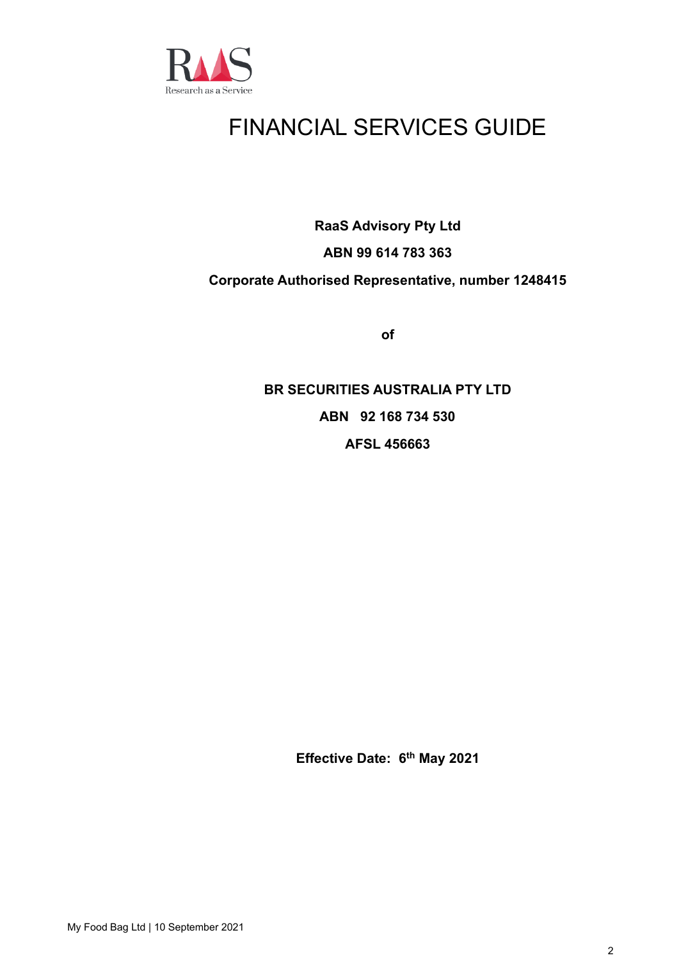

# FINANCIAL SERVICES GUIDE

**RaaS Advisory Pty Ltd**

# **ABN 99 614 783 363**

## **Corporate Authorised Representative, number 1248415**

**of**

**BR SECURITIES AUSTRALIA PTY LTD ABN 92 168 734 530 AFSL 456663**

**Effective Date: 6 th May 2021**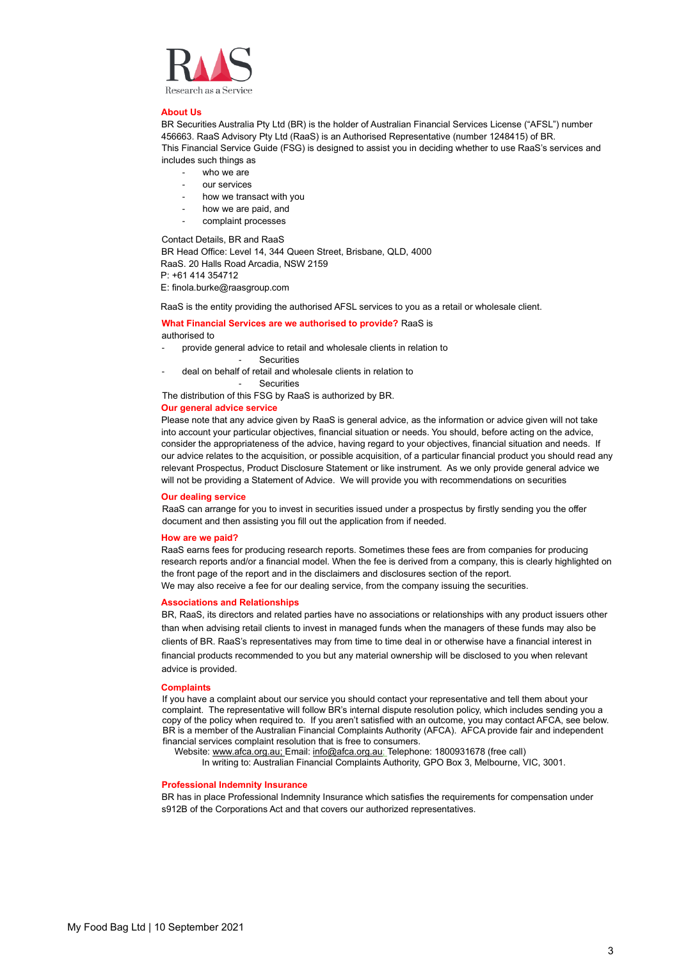

### **About Us**

BR Securities Australia Pty Ltd (BR) is the holder of Australian Financial Services License ("AFSL") number 456663. RaaS Advisory Pty Ltd (RaaS) is an Authorised Representative (number 1248415) of BR. This Financial Service Guide (FSG) is designed to assist you in deciding whether to use RaaS's services and includes such things as

- who we are
- our services
- how we transact with you
- how we are paid, and
- complaint processes

Contact Details, BR and RaaS

BR Head Office: Level 14, 344 Queen Street, Brisbane, QLD, 4000 RaaS. 20 Halls Road Arcadia, NSW 2159 P: +61 414 354712

E: finola.burke@raasgroup.com

RaaS is the entity providing the authorised AFSL services to you as a retail or wholesale client.

### **What Financial Services are we authorised to provide?** RaaS is authorised to

- provide general advice to retail and wholesale clients in relation to
	- Securities
- deal on behalf of retail and wholesale clients in relation to

**Securities** 

The distribution of this FSG by RaaS is authorized by BR.

### **Our general advice service**

Please note that any advice given by RaaS is general advice, as the information or advice given will not take into account your particular objectives, financial situation or needs. You should, before acting on the advice, consider the appropriateness of the advice, having regard to your objectives, financial situation and needs. If our advice relates to the acquisition, or possible acquisition, of a particular financial product you should read any relevant Prospectus, Product Disclosure Statement or like instrument. As we only provide general advice we will not be providing a Statement of Advice. We will provide you with recommendations on securities

### **Our dealing service**

RaaS can arrange for you to invest in securities issued under a prospectus by firstly sending you the offer document and then assisting you fill out the application from if needed.

#### **How are we paid?**

RaaS earns fees for producing research reports. Sometimes these fees are from companies for producing research reports and/or a financial model. When the fee is derived from a company, this is clearly highlighted on the front page of the report and in the disclaimers and disclosures section of the report. We may also receive a fee for our dealing service, from the company issuing the securities.

### **Associations and Relationships**

BR, RaaS, its directors and related parties have no associations or relationships with any product issuers other than when advising retail clients to invest in managed funds when the managers of these funds may also be clients of BR. RaaS's representatives may from time to time deal in or otherwise have a financial interest in financial products recommended to you but any material ownership will be disclosed to you when relevant advice is provided.

#### **Complaints**

If you have a complaint about our service you should contact your representative and tell them about your complaint. The representative will follow BR's internal dispute resolution policy, which includes sending you a copy of the policy when required to. If you aren't satisfied with an outcome, you may contact AFCA, see below. BR is a member of the Australian Financial Complaints Authority (AFCA). AFCA provide fair and independent financial services complaint resolution that is free to consumers.

Website[: www.afca.org.au;](http://www.afca.org.au/) Email[: info@afca.org.au;](mailto:info@afca.org.au) Telephone: 1800931678 (free call)

In writing to: Australian Financial Complaints Authority, GPO Box 3, Melbourne, VIC, 3001.

### **Professional Indemnity Insurance**

BR has in place Professional Indemnity Insurance which satisfies the requirements for compensation under s912B of the Corporations Act and that covers our authorized representatives.